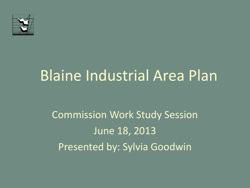

# Blaine Industrial Area Plan

### Commission Work Study Session June 18, 2013 Presented by: Sylvia Goodwin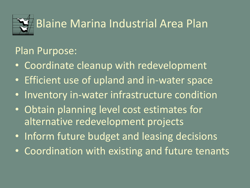

#### Plan Purpose:

- Coordinate cleanup with redevelopment
- Efficient use of upland and in-water space
- Inventory in-water infrastructure condition
- Obtain planning level cost estimates for alternative redevelopment projects
- Inform future budget and leasing decisions
- Coordination with existing and future tenants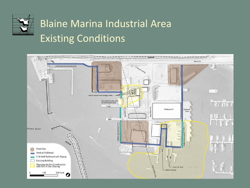

### Blaine Marina Industrial Area Existing Conditions

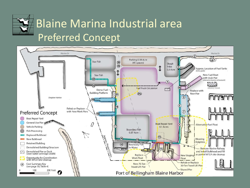

### Blaine Marina Industrial area Preferred Concept

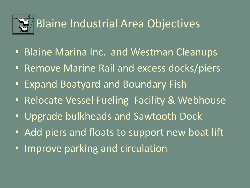

- Blaine Marina Inc. and Westman Cleanups
- Remove Marine Rail and excess docks/piers
- Expand Boatyard and Boundary Fish
- Relocate Vessel Fueling Facility & Webhouse
- Upgrade bulkheads and Sawtooth Dock
- Add piers and floats to support new boat lift
- Improve parking and circulation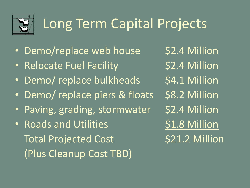

## Long Term Capital Projects

- Demo/replace web house \$2.4 Million
- Relocate Fuel Facility 52.4 Million
- Demo/ replace bulkheads \$4.1 Million
- Demo/ replace piers & floats \$8.2 Million
- Paving, grading, stormwater \$2.4 Million
- Roads and Utilities \$1.8 Million Total Projected Cost 521.2 Million (Plus Cleanup Cost TBD)